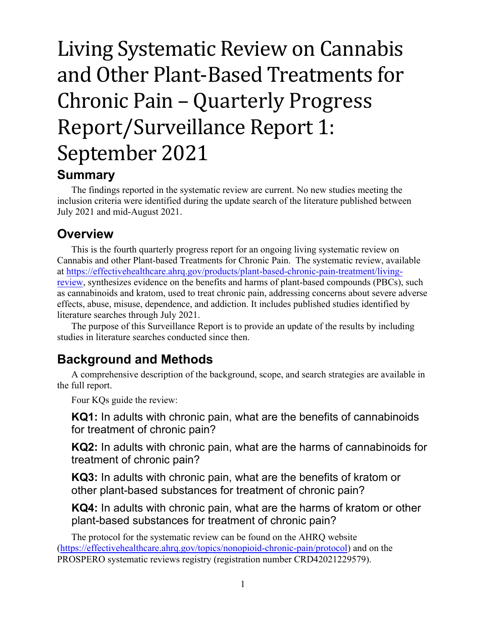# Living Systematic Review on Cannabis and Other Plant-Based Treatments for Chronic Pain – Quarterly Progress Report/Surveillance Report 1: September 2021

#### **Summary**

The findings reported in the systematic review are current. No new studies meeting the inclusion criteria were identified during the update search of the literature published between July 2021 and mid-August 2021.

### **Overview**

This is the fourth quarterly progress report for an ongoing living systematic review on Cannabis and other Plant-based Treatments for Chronic Pain. The systematic review, available at [https://effectivehealthcare.ahrq.gov/products/plant-based-chronic-pain-treatment/living](https://effectivehealthcare.ahrq.gov/products/plant-based-chronic-pain-treatment/living-review)[review,](https://effectivehealthcare.ahrq.gov/products/plant-based-chronic-pain-treatment/living-review) synthesizes evidence on the benefits and harms of plant-based compounds (PBCs), such as cannabinoids and kratom, used to treat chronic pain, addressing concerns about severe adverse effects, abuse, misuse, dependence, and addiction. It includes published studies identified by literature searches through July 2021.

The purpose of this Surveillance Report is to provide an update of the results by including studies in literature searches conducted since then.

### **Background and Methods**

A comprehensive description of the background, scope, and search strategies are available in the full report.

Four KQs guide the review:

**KQ1:** In adults with chronic pain, what are the benefits of cannabinoids for treatment of chronic pain?

**KQ2:** In adults with chronic pain, what are the harms of cannabinoids for treatment of chronic pain?

**KQ3:** In adults with chronic pain, what are the benefits of kratom or other plant-based substances for treatment of chronic pain?

**KQ4:** In adults with chronic pain, what are the harms of kratom or other plant-based substances for treatment of chronic pain?

The protocol for the systematic review can be found on the AHRQ website [\(https://effectivehealthcare.ahrq.gov/topics/nonopioid-chronic-pain/protocol\)](https://effectivehealthcare.ahrq.gov/topics/nonopioid-chronic-pain/protocol) and on the PROSPERO systematic reviews registry (registration number CRD42021229579).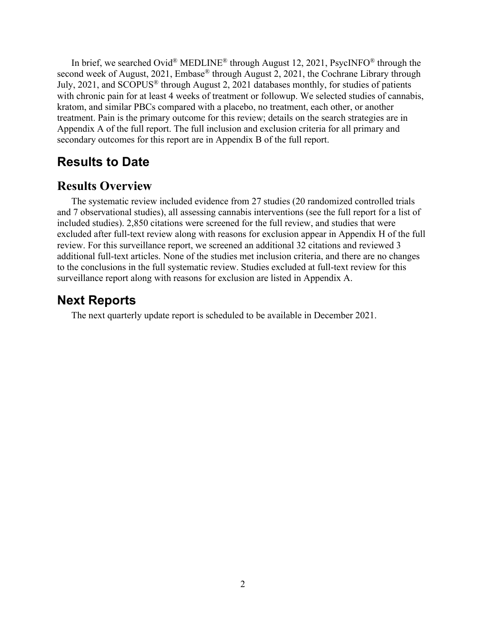In brief, we searched Ovid® MEDLINE® through August 12, 2021, PsycINFO® through the second week of August, 2021, Embase® through August 2, 2021, the Cochrane Library through July, 2021, and SCOPUS® through August 2, 2021 databases monthly, for studies of patients with chronic pain for at least 4 weeks of treatment or followup. We selected studies of cannabis, kratom, and similar PBCs compared with a placebo, no treatment, each other, or another treatment. Pain is the primary outcome for this review; details on the search strategies are in Appendix A of the full report. The full inclusion and exclusion criteria for all primary and secondary outcomes for this report are in Appendix B of the full report.

#### **Results to Date**

#### **Results Overview**

The systematic review included evidence from 27 studies (20 randomized controlled trials and 7 observational studies), all assessing cannabis interventions (see the full report for a list of included studies). 2,850 citations were screened for the full review, and studies that were excluded after full-text review along with reasons for exclusion appear in Appendix H of the full review. For this surveillance report, we screened an additional 32 citations and reviewed 3 additional full-text articles. None of the studies met inclusion criteria, and there are no changes to the conclusions in the full systematic review. Studies excluded at full-text review for this surveillance report along with reasons for exclusion are listed in Appendix A.

#### **Next Reports**

The next quarterly update report is scheduled to be available in December 2021.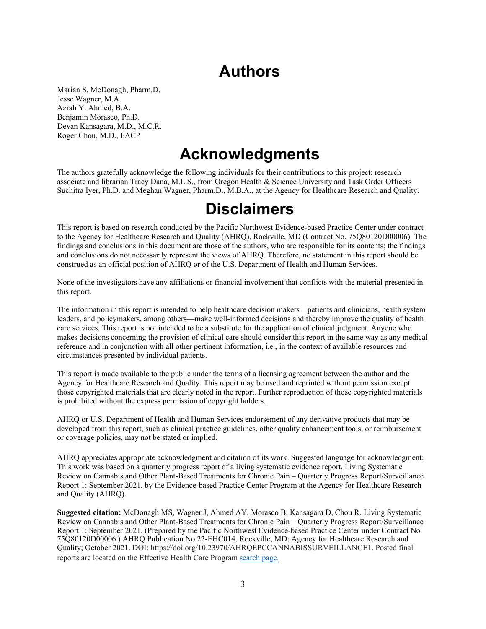## **Authors**

Marian S. McDonagh, Pharm.D. Jesse Wagner, M.A. Azrah Y. Ahmed, B.A. Benjamin Morasco, Ph.D. Devan Kansagara, M.D., M.C.R. Roger Chou, M.D., FACP

## **Acknowledgments**

The authors gratefully acknowledge the following individuals for their contributions to this project: research associate and librarian Tracy Dana, M.L.S., from Oregon Health & Science University and Task Order Officers Suchitra Iyer, Ph.D. and Meghan Wagner, Pharm.D., M.B.A., at the Agency for Healthcare Research and Quality.

### **Disclaimers**

This report is based on research conducted by the Pacific Northwest Evidence-based Practice Center under contract to the Agency for Healthcare Research and Quality (AHRQ), Rockville, MD (Contract No. 75Q80120D00006). The findings and conclusions in this document are those of the authors, who are responsible for its contents; the findings and conclusions do not necessarily represent the views of AHRQ. Therefore, no statement in this report should be construed as an official position of AHRQ or of the U.S. Department of Health and Human Services.

None of the investigators have any affiliations or financial involvement that conflicts with the material presented in this report.

The information in this report is intended to help healthcare decision makers—patients and clinicians, health system leaders, and policymakers, among others—make well-informed decisions and thereby improve the quality of health care services. This report is not intended to be a substitute for the application of clinical judgment. Anyone who makes decisions concerning the provision of clinical care should consider this report in the same way as any medical reference and in conjunction with all other pertinent information, i.e., in the context of available resources and circumstances presented by individual patients.

This report is made available to the public under the terms of a licensing agreement between the author and the Agency for Healthcare Research and Quality. This report may be used and reprinted without permission except those copyrighted materials that are clearly noted in the report. Further reproduction of those copyrighted materials is prohibited without the express permission of copyright holders.

AHRQ or U.S. Department of Health and Human Services endorsement of any derivative products that may be developed from this report, such as clinical practice guidelines, other quality enhancement tools, or reimbursement or coverage policies, may not be stated or implied.

AHRQ appreciates appropriate acknowledgment and citation of its work. Suggested language for acknowledgment: This work was based on a quarterly progress report of a living systematic evidence report, Living Systematic Review on Cannabis and Other Plant-Based Treatments for Chronic Pain – Quarterly Progress Report/Surveillance Report 1: September 2021, by the Evidence-based Practice Center Program at the Agency for Healthcare Research and Quality (AHRQ).

**Suggested citation:** McDonagh MS, Wagner J, Ahmed AY, Morasco B, Kansagara D, Chou R. Living Systematic Review on Cannabis and Other Plant-Based Treatments for Chronic Pain – Quarterly Progress Report/Surveillance Report 1: September 2021. (Prepared by the Pacific Northwest Evidence-based Practice Center under Contract No. 75Q80120D00006.) AHRQ Publication No 22-EHC014. Rockville, MD: Agency for Healthcare Research and Quality; October 2021. DOI: https://doi.org/10.23970/AHRQEPCCANNABISSURVEILLANCE1. Posted final reports are located on the Effective Health Care Program [search page.](https://effectivehealthcare.ahrq.gov/search?f%5B0%5D=field_product_type%3Aresearch_report&f%5B1%5D=field_product_type%3Asystematic_review&f%5B2%5D=field_product_type%3Atechnical_brief&f%5B3%5D=field_product_type%3Awhite_paper&f%5B4%5D=field_product_type%3Amethods_guide_chapter&sort_by=field_product_pub_date)